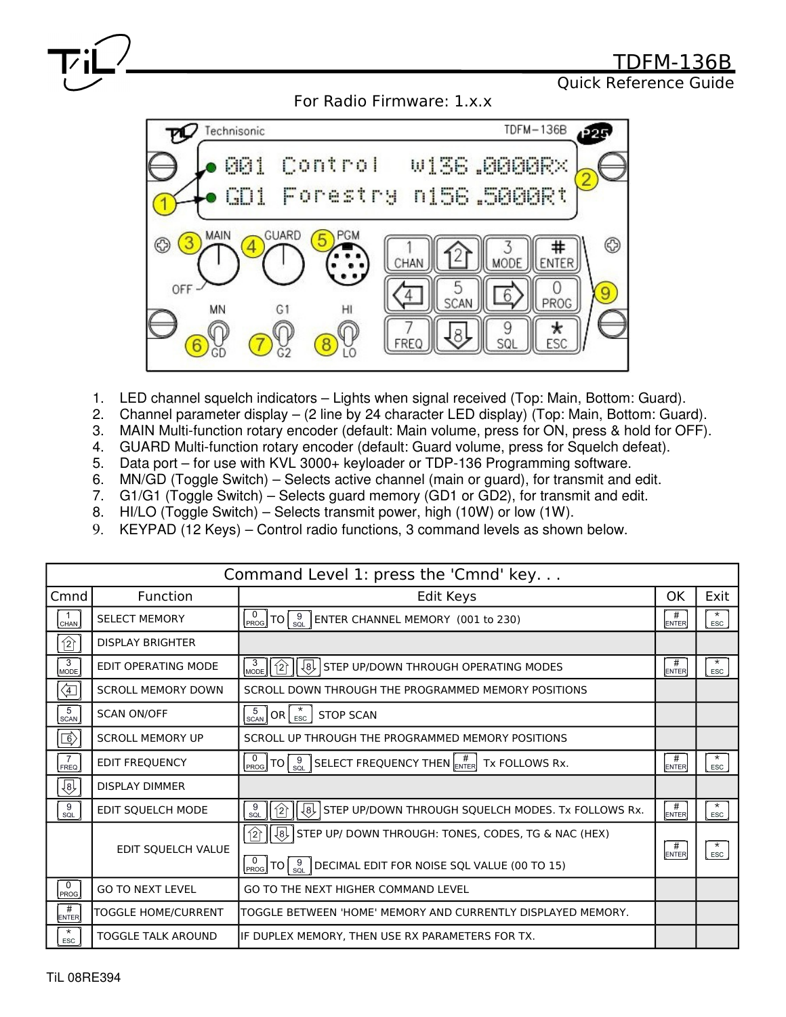

Quick Reference Guide

For Radio Firmware: 1.x.x



- 1. LED channel squelch indicators Lights when signal received (Top: Main, Bottom: Guard).
- 2. Channel parameter display (2 line by 24 character LED display) (Top: Main, Bottom: Guard).
- 3. MAIN Multi-function rotary encoder (default: Main volume, press for ON, press & hold for OFF).
- 4. GUARD Multi-function rotary encoder (default: Guard volume, press for Squelch defeat).
- 5. Data port for use with KVL 3000+ keyloader or TDP-136 Programming software.
- 6. MN/GD (Toggle Switch) Selects active channel (main or guard), for transmit and edit.
- 7. G1/G1 (Toggle Switch) Selects guard memory (GD1 or GD2), for transmit and edit.
- 8. HI/LO (Toggle Switch) Selects transmit power, high (10W) or low (1W).
- 9. KEYPAD (12 Keys) Control radio functions, 3 command levels as shown below.

| Command Level 1: press the 'Cmnd' key |                            |                                                                                                                                                                                    |                   |                       |  |  |  |
|---------------------------------------|----------------------------|------------------------------------------------------------------------------------------------------------------------------------------------------------------------------------|-------------------|-----------------------|--|--|--|
| Cmnd                                  | Function                   | Edit Keys                                                                                                                                                                          | ΟK                | Exit                  |  |  |  |
| CHAN                                  | <b>SELECT MEMORY</b>       | $\left[\begin{smallmatrix} 0\ \text{PROG} \end{smallmatrix}\right]$ TO $\left[\begin{smallmatrix} 9\ \text{SQL}\end{smallmatrix}\right]$ ENTER CHANNEL MEMORY (001 to 230)         | #<br><b>ENTER</b> | $\star$<br><b>ESC</b> |  |  |  |
| 岔                                     | <b>DISPLAY BRIGHTER</b>    |                                                                                                                                                                                    |                   |                       |  |  |  |
| $\overline{3}$<br>MODE                | EDIT OPERATING MODE        | $\begin{bmatrix} 3 \\ \text{mode} \end{bmatrix}$ $\begin{bmatrix} 2 \end{bmatrix}$<br>لولي<br>STEP UP/DOWN THROUGH OPERATING MODES                                                 | #<br><b>ENTER</b> | $\star$<br>ESC        |  |  |  |
| ⇦                                     | <b>SCROLL MEMORY DOWN</b>  | SCROLL DOWN THROUGH THE PROGRAMMED MEMORY POSITIONS                                                                                                                                |                   |                       |  |  |  |
| 5<br>SCAN                             | <b>SCAN ON/OFF</b>         | $\left[\begin{smallmatrix} 5 \\ \text{\tiny SCAN} \end{smallmatrix}\right]$ OR $\left[\begin{smallmatrix} \star \\ \text{\tiny ESC} \end{smallmatrix}\right]$<br><b>STOP SCAN</b>  |                   |                       |  |  |  |
| ⑤                                     | <b>SCROLL MEMORY UP</b>    | SCROLL UP THROUGH THE PROGRAMMED MEMORY POSITIONS                                                                                                                                  |                   |                       |  |  |  |
| 7<br><b>FREQ</b>                      | <b>EDIT FREQUENCY</b>      | $\big  {\tt TO} \big  \, \substack{9 \\ \text{SQL}} \, \big  \, {\sf SELECT}$ FREQUENCY THEN $\big[ \substack{\# \\ \text{ENTER}} \, \big  \, {\sf Tx}$ FOLLOWS Rx.<br><b>PROG</b> | #<br><b>ENTER</b> | $\star$<br>ESC        |  |  |  |
| 仓                                     | <b>DISPLAY DIMMER</b>      |                                                                                                                                                                                    |                   |                       |  |  |  |
| 9<br>SQL                              | EDIT SQUELCH MODE          | $\frac{9}{s}$<br>$\sqrt{8}$<br>STEP UP/DOWN THROUGH SQUELCH MODES. Tx FOLLOWS Rx.<br>$\hat{2}$                                                                                     | #<br><b>ENTER</b> | $\star$<br>ESC        |  |  |  |
|                                       | EDIT SQUELCH VALUE         | $\sqrt{8}$<br>$\hat{2}$<br>STEP UP/ DOWN THROUGH: TONES, CODES, TG & NAC (HEX)                                                                                                     | #                 | $\star$               |  |  |  |
|                                       |                            | TO $\left[\begin{array}{c} 9 \\ \text{SQL} \end{array}\right]$ DECIMAL EDIT FOR NOISE SQL VALUE (00 TO 15)<br>PROG                                                                 | <b>ENTER</b>      | ESC                   |  |  |  |
| 0<br><b>PROG</b>                      | <b>GO TO NEXT LEVEL</b>    | GO TO THE NEXT HIGHER COMMAND LEVEL                                                                                                                                                |                   |                       |  |  |  |
| #<br><b>ENTER</b>                     | <b>TOGGLE HOME/CURRENT</b> | TOGGLE BETWEEN 'HOME' MEMORY AND CURRENTLY DISPLAYED MEMORY.                                                                                                                       |                   |                       |  |  |  |
| $^\star$<br>ESC                       | <b>TOGGLE TALK AROUND</b>  | IF DUPLEX MEMORY, THEN USE RX PARAMETERS FOR TX.                                                                                                                                   |                   |                       |  |  |  |